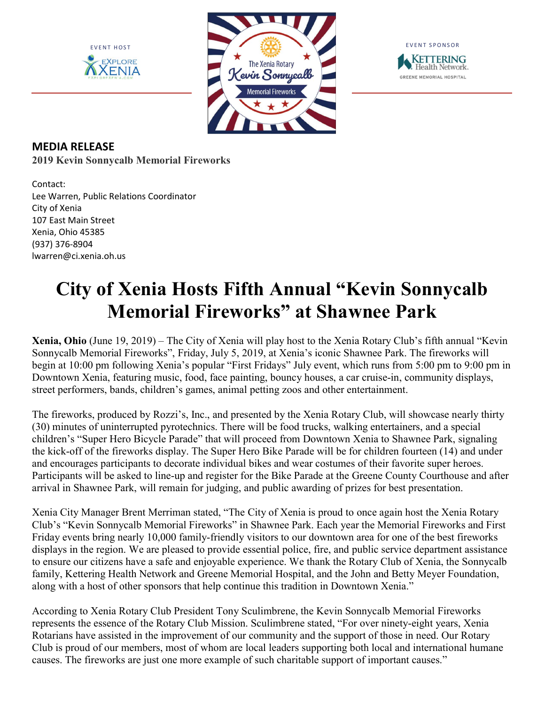





## MEDIA RELEASE 2019 Kevin Sonnycalb Memorial Fireworks

Contact: Lee Warren, Public Relations Coordinator City of Xenia 107 East Main Street Xenia, Ohio 45385 (937) 376-8904 lwarren@ci.xenia.oh.us

## City of Xenia Hosts Fifth Annual "Kevin Sonnycalb Memorial Fireworks" at Shawnee Park

Xenia, Ohio (June 19, 2019) – The City of Xenia will play host to the Xenia Rotary Club's fifth annual "Kevin Sonnycalb Memorial Fireworks", Friday, July 5, 2019, at Xenia's iconic Shawnee Park. The fireworks will begin at 10:00 pm following Xenia's popular "First Fridays" July event, which runs from 5:00 pm to 9:00 pm in Downtown Xenia, featuring music, food, face painting, bouncy houses, a car cruise-in, community displays, street performers, bands, children's games, animal petting zoos and other entertainment.

The fireworks, produced by Rozzi's, Inc., and presented by the Xenia Rotary Club, will showcase nearly thirty (30) minutes of uninterrupted pyrotechnics. There will be food trucks, walking entertainers, and a special children's "Super Hero Bicycle Parade" that will proceed from Downtown Xenia to Shawnee Park, signaling the kick-off of the fireworks display. The Super Hero Bike Parade will be for children fourteen (14) and under and encourages participants to decorate individual bikes and wear costumes of their favorite super heroes. Participants will be asked to line-up and register for the Bike Parade at the Greene County Courthouse and after arrival in Shawnee Park, will remain for judging, and public awarding of prizes for best presentation.

Xenia City Manager Brent Merriman stated, "The City of Xenia is proud to once again host the Xenia Rotary Club's "Kevin Sonnycalb Memorial Fireworks" in Shawnee Park. Each year the Memorial Fireworks and First Friday events bring nearly 10,000 family-friendly visitors to our downtown area for one of the best fireworks displays in the region. We are pleased to provide essential police, fire, and public service department assistance to ensure our citizens have a safe and enjoyable experience. We thank the Rotary Club of Xenia, the Sonnycalb family, Kettering Health Network and Greene Memorial Hospital, and the John and Betty Meyer Foundation, along with a host of other sponsors that help continue this tradition in Downtown Xenia."

According to Xenia Rotary Club President Tony Sculimbrene, the Kevin Sonnycalb Memorial Fireworks represents the essence of the Rotary Club Mission. Sculimbrene stated, "For over ninety-eight years, Xenia Rotarians have assisted in the improvement of our community and the support of those in need. Our Rotary Club is proud of our members, most of whom are local leaders supporting both local and international humane causes. The fireworks are just one more example of such charitable support of important causes."